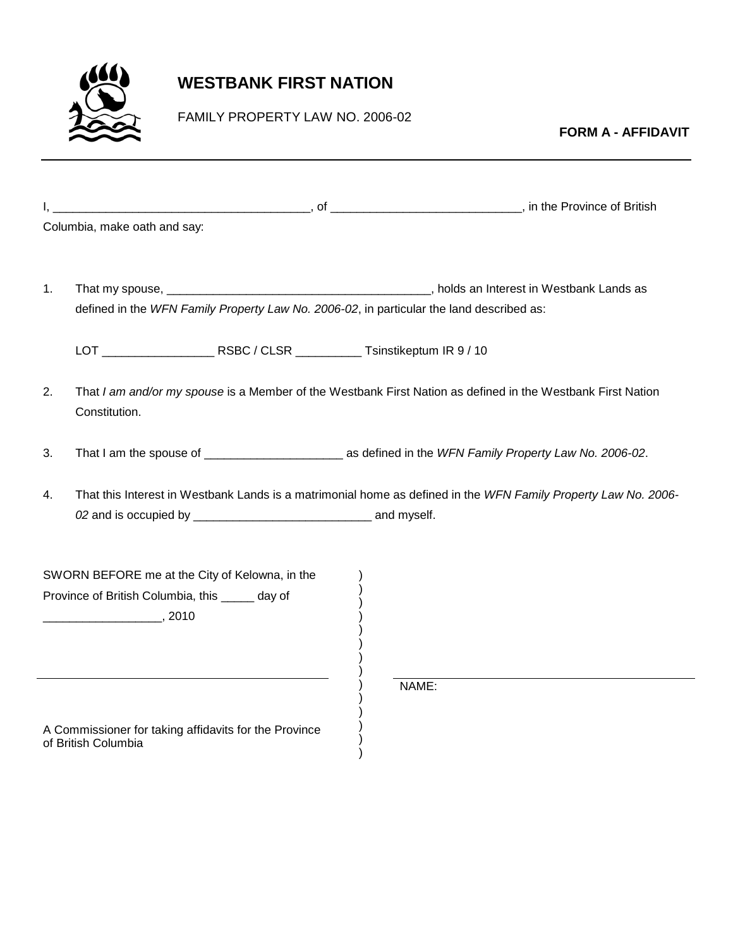

## **WESTBANK FIRST NATION**

FAMILY PROPERTY LAW NO. 2006-02

**FORM A - AFFIDAVIT**

|    | Columbia, make oath and say:                                                                                   |  |  |                                                                                                             |  |  |  |  |  |
|----|----------------------------------------------------------------------------------------------------------------|--|--|-------------------------------------------------------------------------------------------------------------|--|--|--|--|--|
|    |                                                                                                                |  |  |                                                                                                             |  |  |  |  |  |
| 1. |                                                                                                                |  |  |                                                                                                             |  |  |  |  |  |
|    | defined in the WFN Family Property Law No. 2006-02, in particular the land described as:                       |  |  |                                                                                                             |  |  |  |  |  |
|    |                                                                                                                |  |  |                                                                                                             |  |  |  |  |  |
| 2. | Constitution.                                                                                                  |  |  | That I am and/or my spouse is a Member of the Westbank First Nation as defined in the Westbank First Nation |  |  |  |  |  |
| 3. |                                                                                                                |  |  |                                                                                                             |  |  |  |  |  |
| 4. | That this Interest in Westbank Lands is a matrimonial home as defined in the WFN Family Property Law No. 2006- |  |  |                                                                                                             |  |  |  |  |  |
|    |                                                                                                                |  |  |                                                                                                             |  |  |  |  |  |
|    |                                                                                                                |  |  |                                                                                                             |  |  |  |  |  |
|    | SWORN BEFORE me at the City of Kelowna, in the                                                                 |  |  |                                                                                                             |  |  |  |  |  |
|    | Province of British Columbia, this _____ day of                                                                |  |  |                                                                                                             |  |  |  |  |  |
|    | $\sim$ 2010                                                                                                    |  |  |                                                                                                             |  |  |  |  |  |
|    |                                                                                                                |  |  |                                                                                                             |  |  |  |  |  |
|    |                                                                                                                |  |  | NAME:                                                                                                       |  |  |  |  |  |
|    |                                                                                                                |  |  |                                                                                                             |  |  |  |  |  |
|    | A Commissioner for taking affidavits for the Province<br>of British Columbia                                   |  |  |                                                                                                             |  |  |  |  |  |
|    |                                                                                                                |  |  |                                                                                                             |  |  |  |  |  |